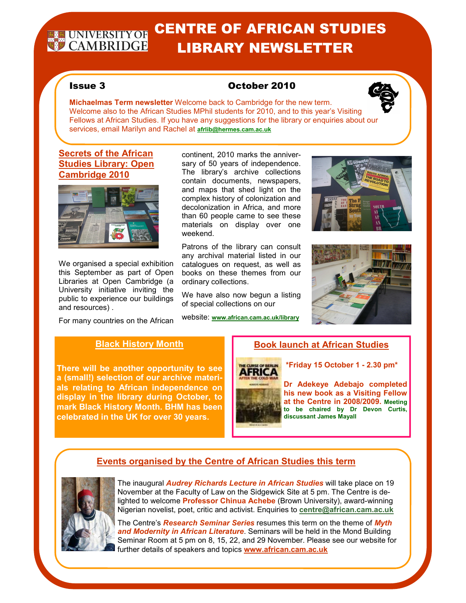# CENTRE OF AFRICAN STUDIES LIBRARY NEWSLETTER

### Issue 3 October 2010



### **Secrets of the African Studies Library: Open Cambridge 2010**



We organised a special exhibition this September as part of Open Libraries at Open Cambridge (a University initiative inviting the public to experience our buildings and resources) .

For many countries on the African

continent, 2010 marks the anniversary of 50 years of independence. The library's archive collections contain documents, newspapers, and maps that shed light on the complex history of colonization and decolonization in Africa, and more than 60 people came to see these materials on display over one weekend.

Patrons of the library can consult any archival material listed in our catalogues on request, as well as books on these themes from our ordinary collections.

We have also now begun a listing of special collections on our

website: **www.african.cam.ac.uk/library** 





### **Black History Month**

**There will be another opportunity to see a (small!) selection of our archive materials relating to African independence on display in the library during October, to mark Black History Month. BHM has been celebrated in the UK for over 30 years.** 

## **Book launch at African Studies**



 **\*Friday 15 October 1 - 2.30 pm\*** 

**Dr Adekeye Adebajo completed his new book as a Visiting Fellow at the Centre in 2008/2009. Meeting to be chaired by Dr Devon Curtis, discussant James Mayall** 

### **Events organised by the Centre of African Studies this term**



The inaugural *Audrey Richards Lecture in African Studies* will take place on 19 November at the Faculty of Law on the Sidgewick Site at 5 pm. The Centre is delighted to welcome **Professor Chinua Achebe** (Brown University), award-winning Nigerian novelist, poet, critic and activist. Enquiries to **centre@african.cam.ac.uk**

The Centre's *Research Seminar Series* resumes this term on the theme of *Myth and Modernity in African Literature*. Seminars will be held in the Mond Building Seminar Room at 5 pm on 8, 15, 22, and 29 November. Please see our website for further details of speakers and topics **www.african.cam.ac.uk**